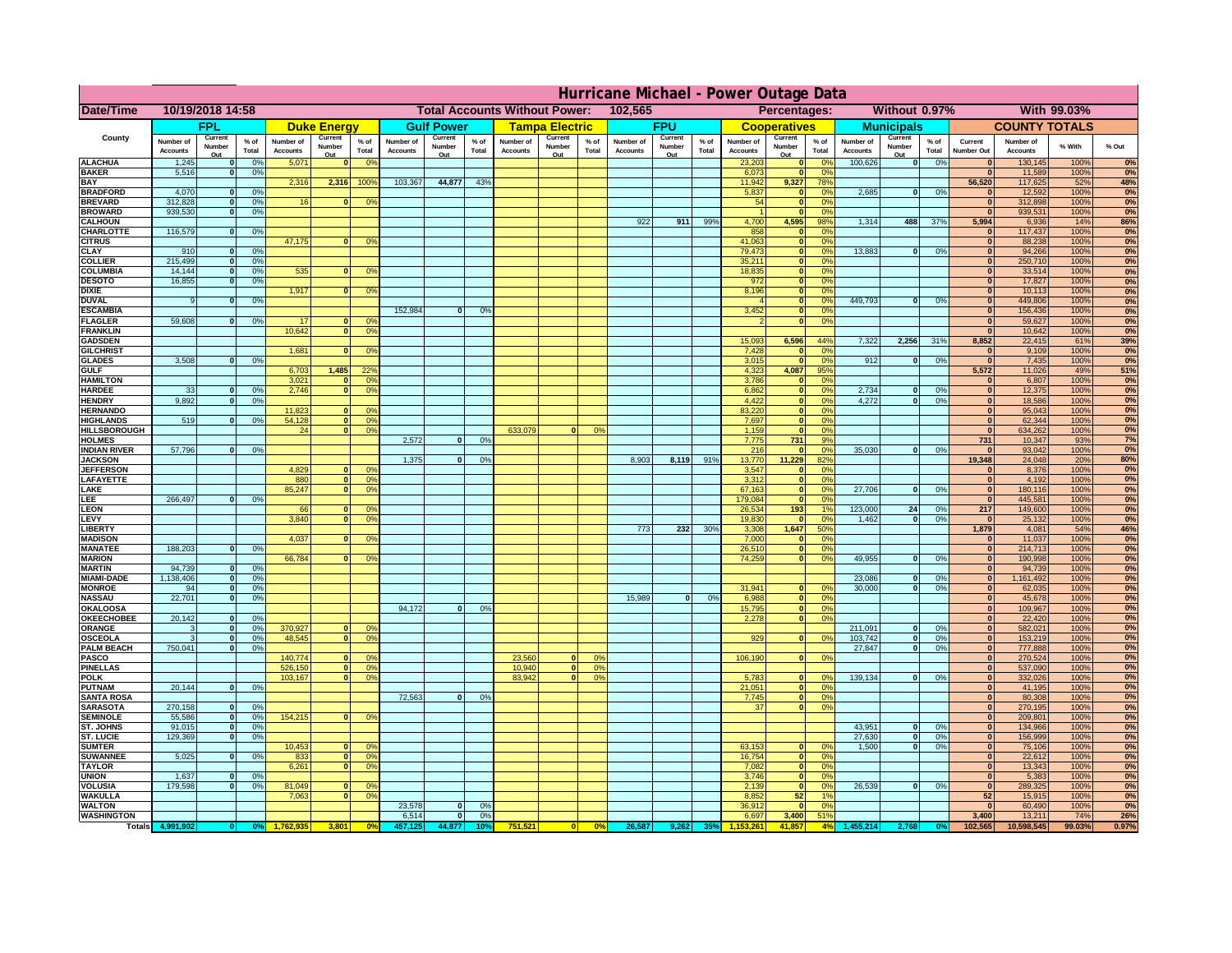|                                      | Hurricane Michael - Power Outage Data |                              |                      |                              |                              |                                  |                                                 |                          |                |                              |                          |                                                     |                       |                          |                    |                              |                          |                       |                              |                          |                 |                              |                              |              |           |
|--------------------------------------|---------------------------------------|------------------------------|----------------------|------------------------------|------------------------------|----------------------------------|-------------------------------------------------|--------------------------|----------------|------------------------------|--------------------------|-----------------------------------------------------|-----------------------|--------------------------|--------------------|------------------------------|--------------------------|-----------------------|------------------------------|--------------------------|-----------------|------------------------------|------------------------------|--------------|-----------|
| Date/Time                            | 10/19/2018 14:58                      |                              |                      |                              |                              |                                  | 102,565<br><b>Total Accounts Without Power:</b> |                          |                |                              |                          | Without 0.97%<br><b>With 99.03%</b><br>Percentages: |                       |                          |                    |                              |                          |                       |                              |                          |                 |                              |                              |              |           |
|                                      |                                       | FPL                          |                      |                              | <b>Duke Energy</b>           |                                  |                                                 | <b>Gulf Power</b>        |                |                              | <b>Tampa Electric</b>    |                                                     |                       | <b>FPU</b>               |                    |                              | <b>Cooperatives</b>      |                       |                              | <b>Municipals</b>        |                 |                              | <b>COUNTY TOTALS</b>         |              |           |
| County                               | Number of<br><b>Accounts</b>          | Current<br>Number<br>Out     | $%$ of<br>Total      | Number of<br><b>Accounts</b> | Current<br>Number<br>Out     | $%$ of<br>Total                  | Number of<br><b>Accounts</b>                    | Current<br>Number<br>Out | % of<br>Total  | Number of<br><b>Accounts</b> | Current<br>Number<br>Out | $%$ of<br>Total                                     | Number of<br>Accounts | Current<br>Number<br>Out | $%$ of<br>Total    | Number of<br><b>Accounts</b> | Current<br>Number<br>Out | $%$ of<br>Total       | Number of<br><b>Accounts</b> | Current<br>Number<br>Out | $%$ of<br>Total | Current<br><b>Number Out</b> | Number of<br><b>Accounts</b> | % With       | % Out     |
| <b>ALACHUA</b>                       | 1,245                                 | $\mathbf{0}$                 | 0%                   | 5,071                        | $\mathbf{0}$                 | 0 <sup>9</sup>                   |                                                 |                          |                |                              |                          |                                                     |                       |                          |                    | 23,203                       | 0                        | 0 <sup>9</sup>        | 100,626                      | 0                        | 0%              | $\bf{0}$                     | 130,145                      | 100%         | 0%        |
| <b>BAKER</b><br><b>BAY</b>           | 5,516                                 | 0                            | 0%                   | 2,316                        | 2,316                        | 100%                             | 103,367                                         | 44,877                   | 43%            |                              |                          |                                                     |                       |                          |                    | 6,073<br>11,942              | 0 <br>9,327              | 0%<br>78%             |                              |                          |                 | $\mathbf{0}$<br>56,520       | 11,589<br>117,625            | 100%<br>52%  | 0%<br>48% |
| <b>BRADFORD</b>                      | 4,070                                 | $\mathbf{0}$                 | 0%                   |                              |                              |                                  |                                                 |                          |                |                              |                          |                                                     |                       |                          |                    | 5,837                        | 0                        | 0%                    | 2,685                        | 0                        | 0%              | $\bf{0}$                     | 12,592                       | 100%         | 0%        |
| <b>BREVARD</b>                       | 312,828                               | 0                            | 0%                   | 16                           | $\mathbf{0}$                 | 0 <sup>o</sup>                   |                                                 |                          |                |                              |                          |                                                     |                       |                          |                    | 54                           | 0                        | 0%                    |                              |                          |                 | $\mathbf{0}$                 | 312,898                      | 100%         | 0%        |
| <b>BROWARD</b>                       | 939.530                               | 0                            | 0%                   |                              |                              |                                  |                                                 |                          |                |                              |                          |                                                     | 922                   | 911                      | 99%                | 4,700                        | 0                        | 0%                    | 1,314                        | 488                      | 37%             | $\bf{0}$<br>5,994            | 939,531                      | 100%<br>14%  | 0%        |
| <b>CALHOUN</b><br>CHARLOTTE          | 116,579                               | 0                            | 0%                   |                              |                              |                                  |                                                 |                          |                |                              |                          |                                                     |                       |                          |                    | 858                          | 4,595<br> 0              | 98%<br>0 <sup>9</sup> |                              |                          |                 |                              | 6,936<br>117,437             | 100%         | 86%<br>0% |
| <b>CITRUS</b>                        |                                       |                              |                      | 47,175                       | $\mathbf{0}$                 | 0 <sup>o</sup>                   |                                                 |                          |                |                              |                          |                                                     |                       |                          |                    | 41,063                       | 0                        | 0 <sup>9</sup>        |                              |                          |                 | $\bf{0}$                     | 88,238                       | 100%         | 0%        |
| <b>CLAY</b>                          | 910<br>215,499                        | $\mathbf{0}$<br>$\mathbf{0}$ | 0%                   |                              |                              |                                  |                                                 |                          |                |                              |                          |                                                     |                       |                          |                    | 79,473<br>35,211             | 0                        | 0 <sup>9</sup><br>0%  | 13,883                       | $\mathbf{0}$             | 0%              | $\bf{0}$<br>$\bf{0}$         | 94,266                       | 100%<br>100% | 0%        |
| <b>COLLIER</b><br><b>COLUMBIA</b>    | 14,144                                | $\mathbf 0$                  | 0 <sup>9</sup><br>0% | 535                          | $\mathbf{0}$                 | 0 <sup>9</sup>                   |                                                 |                          |                |                              |                          |                                                     |                       |                          |                    | 18,835                       | 0 <br> 0                 | 0%                    |                              |                          |                 | $\bf{0}$                     | 250,710<br>33,514            | 100%         | 0%<br>0%  |
| <b>DESOTO</b>                        | 16,855                                | $\mathbf{0}$                 | 0%                   |                              |                              |                                  |                                                 |                          |                |                              |                          |                                                     |                       |                          |                    | 972                          | 0                        | 0%                    |                              |                          |                 | $\bf{0}$                     | 17,827                       | 100%         | 0%        |
| <b>DIXIE</b>                         |                                       |                              |                      | 1,917                        | $\Omega$                     | 0 <sup>9</sup>                   |                                                 |                          |                |                              |                          |                                                     |                       |                          |                    | 8,196                        | 0                        | 0%                    |                              |                          |                 | $\Omega$                     | 10,113                       | 100%         | 0%        |
| <b>DUVAL</b><br><b>ESCAMBIA</b>      | 9                                     | $\Omega$                     | 0%                   |                              |                              |                                  | 152,984                                         | $\mathbf{0}$             | 0 <sup>9</sup> |                              |                          |                                                     |                       |                          |                    | 3,452                        | 0 <br> 0                 | 0%<br>0%              | 449.793                      | $\overline{0}$           | 0%              | $\Omega$<br>$\Omega$         | 449,806<br>156,436           | 100%<br>100% | 0%<br>0%  |
| <b>FLAGLER</b>                       | 59,608                                | $\overline{0}$               | 0%                   | 17                           | $\bf{0}$                     | 0 <sup>o</sup>                   |                                                 |                          |                |                              |                          |                                                     |                       |                          |                    |                              | 0                        | 0%                    |                              |                          |                 | $\mathbf{0}$                 | 59,627                       | 100%         | 0%        |
| <b>FRANKLIN</b>                      |                                       |                              |                      | 10,642                       | 0                            | 0 <sup>9</sup>                   |                                                 |                          |                |                              |                          |                                                     |                       |                          |                    |                              |                          |                       |                              |                          |                 | $\Omega$                     | 10,642                       | 100%         | 0%        |
| <b>GADSDEN</b>                       |                                       |                              |                      | 1,681                        | $\mathbf{0}$                 |                                  |                                                 |                          |                |                              |                          |                                                     |                       |                          |                    | 15,093                       | 6,596                    | 44%<br>0%             | 7,322                        | 2,256                    | 31%             | 8,852<br>$\mathbf{0}$        | 22,415                       | 61%<br>100%  | 39%       |
| <b>GILCHRIST</b><br><b>GLADES</b>    | 3,508                                 | 0                            | 0%                   |                              |                              | 0 <sup>9</sup>                   |                                                 |                          |                |                              |                          |                                                     |                       |                          |                    | 7,428<br>3,015               | 0 <br> 0                 | 0%                    | 912                          | $\overline{0}$           | 0%              | 0                            | 9,109<br>7,435               | 100%         | 0%<br>0%  |
| <b>GULF</b>                          |                                       |                              |                      | 6,703                        | 1,485                        | 22 <sup>o</sup>                  |                                                 |                          |                |                              |                          |                                                     |                       |                          |                    | 4,323                        | 4,087                    | 95%                   |                              |                          |                 | 5,572                        | 11,026                       | 49%          | 51%       |
| <b>HAMILTON</b>                      |                                       |                              |                      | 3,021                        | $\Omega$                     | 0 <sup>9</sup>                   |                                                 |                          |                |                              |                          |                                                     |                       |                          |                    | 3,786                        | 0                        | 0%                    |                              |                          |                 | 0                            | 6,807                        | 100%         | 0%        |
| <b>HARDEE</b><br><b>HENDRY</b>       | 33<br>9,892                           | $\overline{0}$<br>$\Omega$   | 0%<br>0%             | 2.746                        | $\overline{0}$               | 0 <sup>9</sup>                   |                                                 |                          |                |                              |                          |                                                     |                       |                          |                    | 6.862<br>4,422               | $\overline{0}$<br> 0     | 0%<br>0%              | 2.734<br>4,272               | $\mathbf{0}$<br>$\Omega$ | 0%<br>0%        | 0 <br> 0                     | 12,375<br>18,586             | 100%<br>100% | 0%<br>0%  |
| <b>HERNANDO</b>                      |                                       |                              |                      | 11,823                       | $\mathbf{0}$                 | 0 <sup>9</sup>                   |                                                 |                          |                |                              |                          |                                                     |                       |                          |                    | 83,220                       | 0                        | 0%                    |                              |                          |                 | 0                            | 95,043                       | 100%         | 0%        |
| <b>HIGHLANDS</b>                     | 519                                   | $\mathbf{0}$                 | 0 <sup>9</sup>       | 54,128                       | 0                            | 0 <sup>9</sup>                   |                                                 |                          |                |                              |                          |                                                     |                       |                          |                    | 7,697                        | 0                        | 0%                    |                              |                          |                 | $\mathbf{0}$                 | 62,344                       | 100%         | 0%        |
| <b>HILLSBOROUGH</b>                  |                                       |                              |                      | 24                           | 0                            | 0 <sup>9</sup>                   |                                                 |                          |                | 633,079                      |                          | 0%                                                  |                       |                          |                    | 1,159                        | 0                        | 0%                    |                              |                          |                 | 0                            | 634,262                      | 100%         | 0%        |
| <b>HOLMES</b><br><b>INDIAN RIVER</b> | 57,796                                | $\mathbf{0}$                 | 0%                   |                              |                              |                                  | 2.572                                           | $\mathbf{0}$             | 0%             |                              |                          |                                                     |                       |                          |                    | 7.775<br>216                 | 731<br> 0                | 9%<br>0%              | 35,030                       | $\mathbf{0}$             | 0%              | 731<br>$\mathbf{0}$          | 10,347<br>93,042             | 93%<br>100%  | 7%<br>0%  |
| <b>JACKSON</b>                       |                                       |                              |                      |                              |                              |                                  | 1.375                                           | $\mathbf{0}$             | 0 <sup>9</sup> |                              |                          |                                                     | 8.903                 | 8,119                    | 91%                | 13,770                       | 11.229                   | 82%                   |                              |                          |                 | 19.348                       | 24,048                       | 20%          | 80%       |
| <b>JEFFERSON</b>                     |                                       |                              |                      | 4.829                        | n l                          | 0 <sup>9</sup>                   |                                                 |                          |                |                              |                          |                                                     |                       |                          |                    | 3.547                        | 0                        | 0%                    |                              |                          |                 | 0                            | 8.376                        | 100%         | 0%        |
| LAFAYETTE<br>LAKE                    |                                       |                              |                      | 880<br>85,247                | 0 <br>$\mathbf{0}$           | 0 <sup>9</sup><br>0 <sup>9</sup> |                                                 |                          |                |                              |                          |                                                     |                       |                          |                    | 3.312<br>67,163              | 0 <br> 0                 | 0%<br>0%              | 27,706                       | $\Omega$                 | 0%              | 0 <br> 0                     | 4.192<br>180,116             | 100%<br>100% | 0%<br>0%  |
| .EE                                  | 266,497                               | 0                            | 0%                   |                              |                              |                                  |                                                 |                          |                |                              |                          |                                                     |                       |                          |                    | 179,084                      | 0                        | 0%                    |                              |                          |                 | 0                            | 445,581                      | 100%         | 0%        |
| <b>LEON</b>                          |                                       |                              |                      | 66                           | $\mathbf{0}$                 | 0 <sup>o</sup>                   |                                                 |                          |                |                              |                          |                                                     |                       |                          |                    | 26,534                       | 193                      | 1%                    | 123,000                      | 24                       | 0%              | 217                          | 149,600                      | 100%         | 0%        |
| LEVY                                 |                                       |                              |                      | 3,840                        | $\Omega$                     | 0 <sup>9</sup>                   |                                                 |                          |                |                              |                          |                                                     |                       |                          |                    | 19,830                       | 0                        | 0%                    | 1,462                        | -ol                      | 0%              | 0                            | 25,132                       | 100%         | 0%<br>46% |
| LIBERTY<br><b>MADISON</b>            |                                       |                              |                      | 4,037                        | $\Omega$                     | 0 <sup>9</sup>                   |                                                 |                          |                |                              |                          |                                                     | 773                   | 232                      | 30%                | 3,308<br>7,000               | 1,647<br> 0              | 50%<br>0%             |                              |                          |                 | 1,879<br> 0                  | 4,081<br>11,037              | 54%<br>100%  | 0%        |
| <b>MANATEE</b>                       | 188,203                               | 0                            | 0%                   |                              |                              |                                  |                                                 |                          |                |                              |                          |                                                     |                       |                          |                    | 26,510                       | 0                        | 0%                    |                              |                          |                 | 0                            | 214,713                      | 100%         | 0%        |
| <b>MARION</b>                        |                                       |                              |                      | 66,784                       | 0                            | 0 <sup>9</sup>                   |                                                 |                          |                |                              |                          |                                                     |                       |                          |                    | 74,259                       | 0                        | 0%                    | 49,955                       | nl                       | 0%              | 0                            | 190,998                      | 100%         | 0%        |
| <b>MARTIN</b><br><b>MIAMI-DADE</b>   | 94,739<br>1,138,406                   | 0 <br> 0                     | 0%<br>0%             |                              |                              |                                  |                                                 |                          |                |                              |                          |                                                     |                       |                          |                    |                              |                          |                       | 23,086                       | $\mathbf{0}$             | 0%              | 0 <br> 0                     | 94,739<br>1,161,492          | 100%<br>100% | 0%<br>0%  |
| <b>MONROE</b>                        | 94                                    | 0                            | 0%                   |                              |                              |                                  |                                                 |                          |                |                              |                          |                                                     |                       |                          |                    | 31,941                       | $\overline{0}$           | 0 <sup>9</sup>        | 30,000                       | 0                        | 0%              | 0                            | 62,035                       | 100%         | 0%        |
| <b>NASSAU</b>                        | 22,701                                | 0                            | 0%                   |                              |                              |                                  |                                                 |                          |                |                              |                          |                                                     | 15,989                | 0                        | 0%                 | 6,988                        | 0                        | 0%                    |                              |                          |                 | 0                            | 45,678                       | 100%         | 0%        |
| <b>OKALOOSA</b>                      |                                       |                              |                      |                              |                              |                                  | 94,172                                          | $\Omega$                 | 0%             |                              |                          |                                                     |                       |                          |                    | 15,795                       | 0                        | 0%                    |                              |                          |                 | 0                            | 109,967                      | 100%         | 0%<br>0%  |
| <b>OKEECHOBEE</b><br>ORANGE          | 20,142<br>3                           | 0 <br> 0                     | 0%<br>0%             | 370,927                      |                              | 0 <br>0 <sup>o</sup>             |                                                 |                          |                |                              |                          |                                                     |                       |                          |                    | 2,278                        |                          | 0 <br>0%              | 211,091                      | $\mathbf{0}$             | 0%              | 0 <br> 0                     | 22,420<br>582,021            | 100%<br>100% | 0%        |
| <b>OSCEOLA</b>                       | 3                                     | 0                            | 0%                   | 48,545                       |                              | 0 <sup>9</sup><br> 0             |                                                 |                          |                |                              |                          |                                                     |                       |                          |                    | 929                          |                          | 0 <br>0%              | 103,742                      | 0                        | 0%              | 0                            | 153,219                      | 100%         | 0%        |
| <b>PALM BEACH</b>                    | 750,041                               | 0                            | 0%                   |                              |                              |                                  |                                                 |                          |                |                              |                          |                                                     |                       |                          |                    |                              |                          |                       | 27,847                       | $\overline{\mathbf{0}}$  | 0%              | 0                            | 777,888                      | 100%         | 0%        |
| <b>PASCO</b><br><b>PINELLAS</b>      |                                       |                              |                      | 140,774<br>526,150           | $\Omega$<br> 0               | $^{\circ}$<br>0 <sup>9</sup>     |                                                 |                          |                | 23,560<br>10,940             | $\Omega$<br> 0           | $^{\circ}$<br>0%                                    |                       |                          |                    | 106,190                      |                          | 0 <br>0%              |                              |                          |                 | 0 <br>$\Omega$               | 270,524<br>537,090           | 100%<br>100% | 0%<br>0%  |
| <b>POLK</b>                          |                                       |                              |                      | 103,167                      |                              | 0 <sup>9</sup><br> 0             |                                                 |                          |                | 83,942                       | $\mathbf{a}$             | 0%                                                  |                       |                          |                    | 5,783                        | 0                        | $\Omega$              | 139,134                      | 0                        | 0%              | 0                            | 332,026                      | 100%         | 0%        |
| <b>PUTNAM</b>                        | 20,144                                | 0                            | 0%                   |                              |                              |                                  |                                                 |                          |                |                              |                          |                                                     |                       |                          |                    | 21,051                       | $\ddot{\textbf{0}}$      | 0%                    |                              |                          |                 | $\bf{0}$                     | 41,195                       | 100%         | 0%        |
| <b>SANTA ROSA</b><br><b>SARASOTA</b> | 270,158                               | 0                            | 0%                   |                              |                              |                                  | 72,563                                          | 0                        | 0%             |                              |                          |                                                     |                       |                          |                    | 7,745<br>37                  | 0                        | 0%<br> 0 <br>0%       |                              |                          |                 | $\mathbf{0}$<br>$\mathbf{0}$ | 80,308                       | 100%<br>100% | 0%<br>0%  |
| <b>SEMINOLE</b>                      | 55,586                                | 0                            | 0%                   | 154,215                      |                              | $\mathbf{0}$<br>0 <sup>9</sup>   |                                                 |                          |                |                              |                          |                                                     |                       |                          |                    |                              |                          |                       |                              |                          |                 | $\mathbf{0}$                 | 270,195<br>209,801           | 100%         | 0%        |
| <b>ST. JOHNS</b>                     | 91,015                                | 0                            | 0%                   |                              |                              |                                  |                                                 |                          |                |                              |                          |                                                     |                       |                          |                    |                              |                          |                       | 43,951                       | -ol                      | 0%              | 0                            | 134,966                      | 100%         | 0%        |
| <b>ST. LUCIE</b>                     | 129.369                               | $\mathbf{0}$                 | 0%                   |                              |                              |                                  |                                                 |                          |                |                              |                          |                                                     |                       |                          |                    |                              |                          |                       | 27.630                       | - O I                    | 0%              | 0                            | 156,999                      | 100%         | 0%        |
| <b>SUMTER</b><br><b>SUWANNEE</b>     | 5,025                                 | 0                            | 0%                   | 10,453<br>833                | 0 <br> 0                     | 0 <sup>9</sup><br>0 <sup>o</sup> |                                                 |                          |                |                              |                          |                                                     |                       |                          |                    | 63,153<br>16,754             | 0 <br> 0                 | 0%<br>0%              | 1.500                        | 0                        | 0%              | 0 <br>$\mathbf{0}$           | 75,106<br>22,612             | 100%<br>100% | 0%<br>0%  |
| <b>TAYLOR</b>                        |                                       |                              |                      | 6,261                        | 0                            | 0 <sup>9</sup>                   |                                                 |                          |                |                              |                          |                                                     |                       |                          |                    | 7,082                        | 0                        | 0%                    |                              |                          |                 | $\bf{0}$                     | 13,343                       | 100%         | 0%        |
| <b>UNION</b>                         | 1,637                                 | $\mathbf{0}$                 | 0%                   |                              |                              |                                  |                                                 |                          |                |                              |                          |                                                     |                       |                          |                    | 3,746                        | 0                        | 0%                    |                              |                          |                 | 0                            | 5,383                        | 100%         | 0%        |
| <b>VOLUSIA</b><br><b>WAKULLA</b>     | 179,598                               | 0                            | 0%                   | 81,049<br>7,063              | $\mathbf{0}$<br>$\mathbf{0}$ | $\mathbf{0}$<br>0 <sup>9</sup>   |                                                 |                          |                |                              |                          |                                                     |                       |                          |                    | 2,139<br>8,852               | 0 <br>52                 | 0%<br>1%              | 26,539                       | 0                        | 0%              | $\mathbf{0}$<br>52           | 289,325<br>15,915            | 100%<br>100% | 0%<br>0%  |
| <b>WALTON</b>                        |                                       |                              |                      |                              |                              |                                  | 23,578                                          | $\mathbf{0}$             | 0%             |                              |                          |                                                     |                       |                          |                    | 36,912                       | 0                        | 0%                    |                              |                          |                 | $\mathbf{0}$                 | 60,490                       | 100%         | 0%        |
| <b>WASHINGTON</b>                    |                                       |                              |                      |                              |                              |                                  | 6,514                                           | 0                        | 0%             |                              |                          |                                                     |                       |                          |                    | 6,697                        | 3,400                    | 51%                   |                              |                          |                 | 3,400                        | 13,211                       | 74%          | 26%       |
| <b>Totals</b>                        |                                       |                              |                      |                              | 3,801                        | 0 <sup>6</sup>                   | 457,125                                         | 44,877                   | 10°            | 751,521                      | 0                        | 0%                                                  | 26,587                |                          | 35% <mark> </mark> |                              | 41.857                   | 4%                    | 155,214                      | 2.768                    |                 | 102,565                      | 10,598,545                   | 99.03%       | 0.97%     |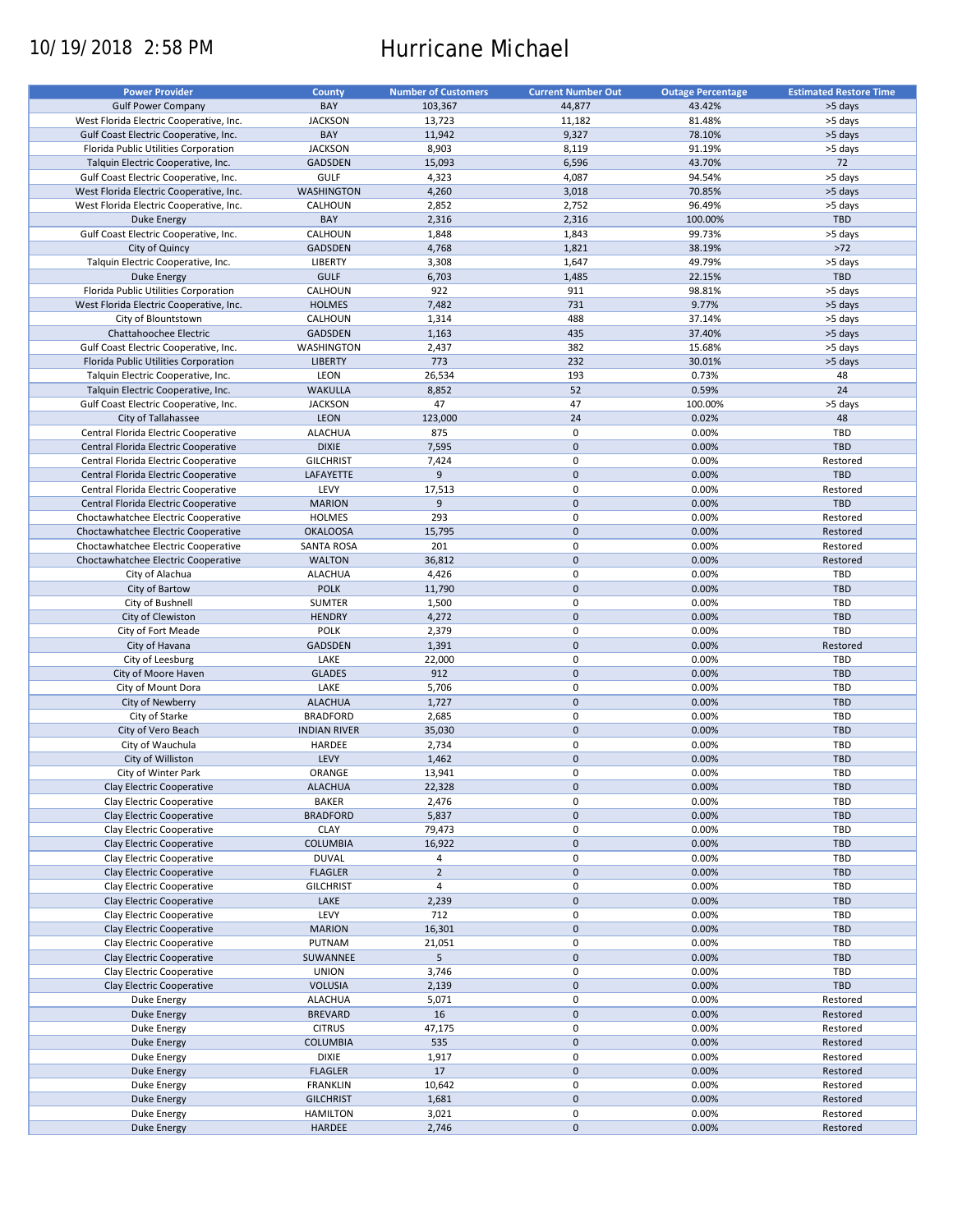# 10/19/2018 2:58 PM Hurricane Michael

| <b>Power Provider</b>                   | <b>County</b>       | <b>Number of Customers</b> | <b>Current Number Out</b> | <b>Outage Percentage</b> | <b>Estimated Restore Time</b> |
|-----------------------------------------|---------------------|----------------------------|---------------------------|--------------------------|-------------------------------|
|                                         |                     |                            |                           |                          |                               |
| <b>Gulf Power Company</b>               | BAY                 | 103,367                    | 44,877                    | 43.42%                   | >5 days                       |
| West Florida Electric Cooperative, Inc. | <b>JACKSON</b>      | 13,723                     | 11,182                    | 81.48%                   | >5 days                       |
| Gulf Coast Electric Cooperative, Inc.   | BAY                 | 11,942                     | 9,327                     | 78.10%                   | >5 days                       |
| Florida Public Utilities Corporation    | <b>JACKSON</b>      | 8,903                      | 8,119                     | 91.19%                   | >5 days                       |
| Talquin Electric Cooperative, Inc.      | <b>GADSDEN</b>      | 15,093                     | 6,596                     | 43.70%                   | 72                            |
| Gulf Coast Electric Cooperative, Inc.   | <b>GULF</b>         | 4,323                      | 4,087                     | 94.54%                   | >5 days                       |
| West Florida Electric Cooperative, Inc. | <b>WASHINGTON</b>   | 4,260                      | 3,018                     | 70.85%                   | >5 days                       |
|                                         |                     |                            |                           |                          |                               |
| West Florida Electric Cooperative, Inc. | CALHOUN             | 2,852                      | 2,752                     | 96.49%                   | >5 days                       |
| <b>Duke Energy</b>                      | BAY                 | 2,316                      | 2,316                     | 100.00%                  | <b>TBD</b>                    |
| Gulf Coast Electric Cooperative, Inc.   | CALHOUN             | 1,848                      | 1,843                     | 99.73%                   | >5 days                       |
| City of Quincy                          | <b>GADSDEN</b>      | 4,768                      | 1,821                     | 38.19%                   | $>72$                         |
| Talquin Electric Cooperative, Inc.      | LIBERTY             | 3,308                      | 1,647                     | 49.79%                   | >5 days                       |
| <b>Duke Energy</b>                      | <b>GULF</b>         | 6,703                      | 1,485                     | 22.15%                   | TBD                           |
| Florida Public Utilities Corporation    | CALHOUN             | 922                        | 911                       | 98.81%                   | >5 days                       |
|                                         |                     |                            |                           |                          |                               |
| West Florida Electric Cooperative, Inc. | <b>HOLMES</b>       | 7,482                      | 731                       | 9.77%                    | >5 days                       |
| City of Blountstown                     | CALHOUN             | 1,314                      | 488                       | 37.14%                   | >5 days                       |
| Chattahoochee Electric                  | GADSDEN             | 1,163                      | 435                       | 37.40%                   | >5 days                       |
| Gulf Coast Electric Cooperative, Inc.   | WASHINGTON          | 2,437                      | 382                       | 15.68%                   | >5 days                       |
| Florida Public Utilities Corporation    | <b>LIBERTY</b>      | 773                        | 232                       | 30.01%                   | >5 days                       |
| Talquin Electric Cooperative, Inc.      | LEON                | 26,534                     | 193                       | 0.73%                    | 48                            |
|                                         |                     |                            | 52                        |                          | 24                            |
| Talquin Electric Cooperative, Inc.      | <b>WAKULLA</b>      | 8,852                      |                           | 0.59%                    |                               |
| Gulf Coast Electric Cooperative, Inc.   | <b>JACKSON</b>      | 47                         | 47                        | 100.00%                  | >5 days                       |
| City of Tallahassee                     | <b>LEON</b>         | 123,000                    | 24                        | 0.02%                    | 48                            |
| Central Florida Electric Cooperative    | <b>ALACHUA</b>      | 875                        | 0                         | 0.00%                    | TBD                           |
| Central Florida Electric Cooperative    | <b>DIXIE</b>        | 7,595                      | $\pmb{0}$                 | 0.00%                    | <b>TBD</b>                    |
| Central Florida Electric Cooperative    | <b>GILCHRIST</b>    | 7,424                      | $\mathbf 0$               | 0.00%                    | Restored                      |
| Central Florida Electric Cooperative    | LAFAYETTE           | 9                          | $\pmb{0}$                 | 0.00%                    | <b>TBD</b>                    |
|                                         |                     |                            |                           |                          |                               |
| Central Florida Electric Cooperative    | LEVY                | 17,513                     | 0                         | 0.00%                    | Restored                      |
| Central Florida Electric Cooperative    | <b>MARION</b>       | 9                          | $\pmb{0}$                 | 0.00%                    | <b>TBD</b>                    |
| Choctawhatchee Electric Cooperative     | <b>HOLMES</b>       | 293                        | $\mathbf 0$               | 0.00%                    | Restored                      |
| Choctawhatchee Electric Cooperative     | <b>OKALOOSA</b>     | 15,795                     | $\mathbf 0$               | 0.00%                    | Restored                      |
| Choctawhatchee Electric Cooperative     | SANTA ROSA          | 201                        | 0                         | 0.00%                    | Restored                      |
| Choctawhatchee Electric Cooperative     | <b>WALTON</b>       | 36,812                     | $\mathbf 0$               | 0.00%                    | Restored                      |
|                                         |                     |                            |                           |                          |                               |
| City of Alachua                         | <b>ALACHUA</b>      | 4,426                      | 0                         | 0.00%                    | TBD                           |
| City of Bartow                          | <b>POLK</b>         | 11,790                     | $\mathbf 0$               | 0.00%                    | <b>TBD</b>                    |
| City of Bushnell                        | <b>SUMTER</b>       | 1,500                      | 0                         | 0.00%                    | TBD                           |
| City of Clewiston                       | <b>HENDRY</b>       | 4,272                      | $\mathbf 0$               | 0.00%                    | <b>TBD</b>                    |
| City of Fort Meade                      | <b>POLK</b>         | 2,379                      | $\pmb{0}$                 | 0.00%                    | TBD                           |
| City of Havana                          | <b>GADSDEN</b>      | 1,391                      | $\mathbf 0$               | 0.00%                    | Restored                      |
| City of Leesburg                        | LAKE                | 22,000                     | $\pmb{0}$                 | 0.00%                    | TBD                           |
|                                         |                     |                            |                           |                          |                               |
| City of Moore Haven                     | <b>GLADES</b>       | 912                        | $\mathbf 0$               | 0.00%                    | <b>TBD</b>                    |
| City of Mount Dora                      | LAKE                | 5,706                      | 0                         | 0.00%                    | TBD                           |
| City of Newberry                        | <b>ALACHUA</b>      | 1,727                      | $\pmb{0}$                 | 0.00%                    | <b>TBD</b>                    |
| City of Starke                          | <b>BRADFORD</b>     | 2,685                      | 0                         | 0.00%                    | TBD                           |
| City of Vero Beach                      | <b>INDIAN RIVER</b> | 35,030                     | $\pmb{0}$                 | 0.00%                    | <b>TBD</b>                    |
| City of Wauchula                        | HARDEE              | 2,734                      | 0                         | 0.00%                    | <b>TBD</b>                    |
| City of Williston                       | LEVY                | 1,462                      | $\pmb{0}$                 | 0.00%                    | <b>TBD</b>                    |
|                                         |                     |                            |                           |                          |                               |
| City of Winter Park                     | ORANGE              | 13,941                     | $\mathbf 0$               | 0.00%                    | TBD                           |
| Clay Electric Cooperative               | <b>ALACHUA</b>      | 22,328                     | $\pmb{0}$                 | 0.00%                    | TBD                           |
| Clay Electric Cooperative               | <b>BAKER</b>        | 2,476                      | 0                         | 0.00%                    | TBD                           |
| Clay Electric Cooperative               | <b>BRADFORD</b>     | 5,837                      | $\pmb{0}$                 | 0.00%                    | <b>TBD</b>                    |
| Clay Electric Cooperative               | <b>CLAY</b>         | 79,473                     | 0                         | 0.00%                    | TBD                           |
| Clay Electric Cooperative               | <b>COLUMBIA</b>     | 16,922                     | $\pmb{0}$                 | 0.00%                    | TBD                           |
| Clay Electric Cooperative               | <b>DUVAL</b>        | 4                          | 0                         | 0.00%                    | TBD                           |
|                                         |                     |                            |                           |                          |                               |
| Clay Electric Cooperative               | <b>FLAGLER</b>      | $\overline{2}$             | $\pmb{0}$                 | 0.00%                    | TBD                           |
| Clay Electric Cooperative               | <b>GILCHRIST</b>    | 4                          | 0                         | 0.00%                    | TBD                           |
| Clay Electric Cooperative               | LAKE                | 2,239                      | 0                         | 0.00%                    | <b>TBD</b>                    |
| Clay Electric Cooperative               | LEVY                | 712                        | 0                         | 0.00%                    | TBD                           |
| Clay Electric Cooperative               | <b>MARION</b>       | 16,301                     | $\pmb{0}$                 | 0.00%                    | <b>TBD</b>                    |
| Clay Electric Cooperative               | PUTNAM              | 21,051                     | 0                         | 0.00%                    | TBD                           |
| Clay Electric Cooperative               | SUWANNEE            | 5                          | $\pmb{0}$                 | 0.00%                    | <b>TBD</b>                    |
|                                         |                     |                            |                           |                          |                               |
| Clay Electric Cooperative               | <b>UNION</b>        | 3,746                      | 0                         | 0.00%                    | TBD                           |
| Clay Electric Cooperative               | <b>VOLUSIA</b>      | 2,139                      | $\pmb{0}$                 | 0.00%                    | TBD                           |
| Duke Energy                             | <b>ALACHUA</b>      | 5,071                      | 0                         | 0.00%                    | Restored                      |
| Duke Energy                             | <b>BREVARD</b>      | 16                         | $\pmb{0}$                 | 0.00%                    | Restored                      |
| Duke Energy                             | <b>CITRUS</b>       | 47,175                     | 0                         | 0.00%                    | Restored                      |
| <b>Duke Energy</b>                      | <b>COLUMBIA</b>     | 535                        | $\pmb{0}$                 | 0.00%                    | Restored                      |
| Duke Energy                             | <b>DIXIE</b>        | 1,917                      | 0                         | 0.00%                    | Restored                      |
|                                         |                     |                            |                           |                          |                               |
| <b>Duke Energy</b>                      | <b>FLAGLER</b>      | 17                         | $\pmb{0}$                 | 0.00%                    | Restored                      |
| Duke Energy                             | <b>FRANKLIN</b>     | 10,642                     | 0                         | 0.00%                    | Restored                      |
| <b>Duke Energy</b>                      | <b>GILCHRIST</b>    | 1,681                      | $\pmb{0}$                 | 0.00%                    | Restored                      |
| Duke Energy                             | <b>HAMILTON</b>     | 3,021                      | 0                         | 0.00%                    | Restored                      |
| <b>Duke Energy</b>                      | HARDEE              | 2,746                      | $\mathbf 0$               | 0.00%                    | Restored                      |
|                                         |                     |                            |                           |                          |                               |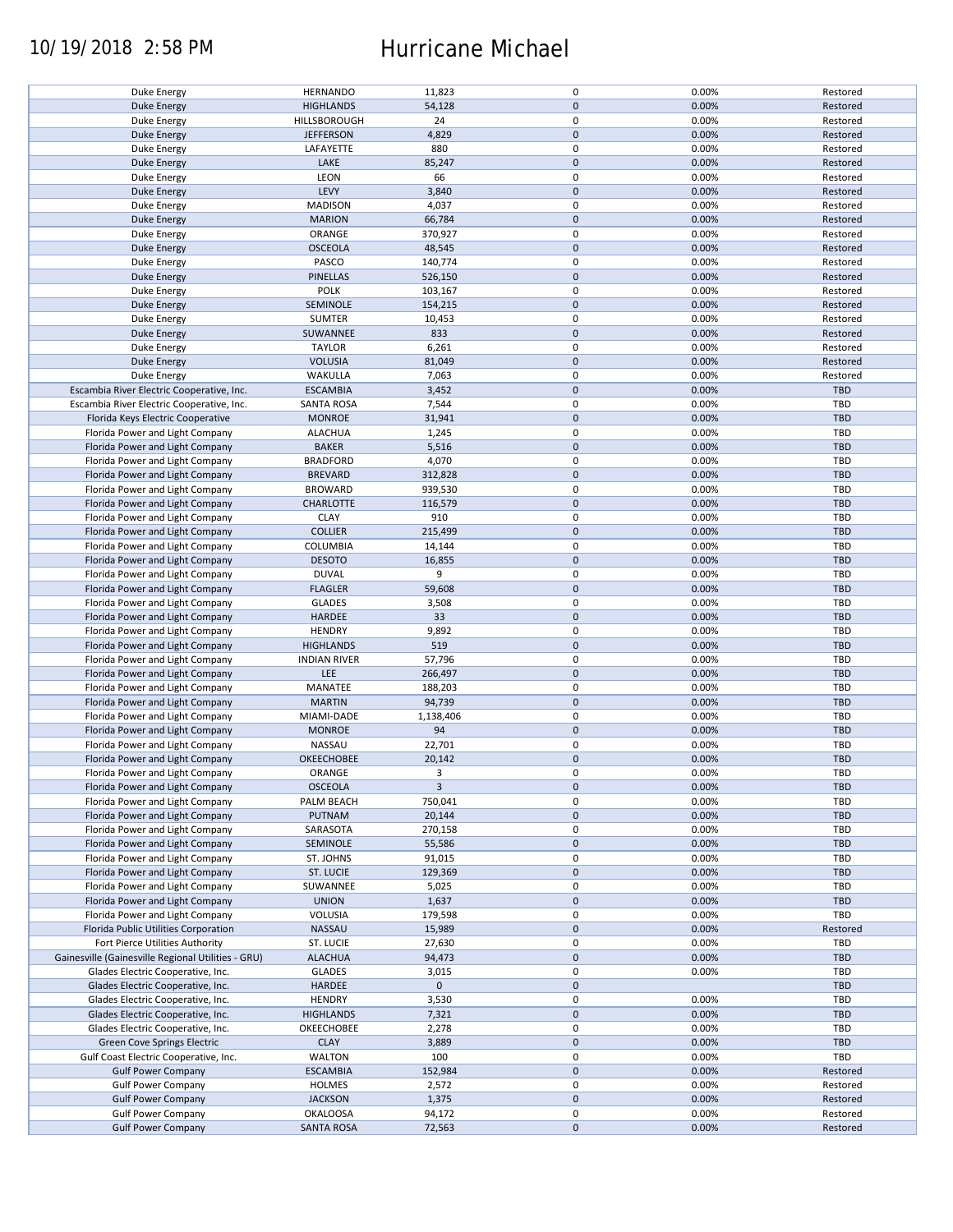## 10/19/2018 2:58 PM Hurricane Michael

| Duke Energy                                        | <b>HERNANDO</b>     | 11,823       | $\mathbf 0$ | 0.00% | Restored   |
|----------------------------------------------------|---------------------|--------------|-------------|-------|------------|
| <b>Duke Energy</b>                                 | <b>HIGHLANDS</b>    | 54,128       | $\mathbf 0$ | 0.00% | Restored   |
|                                                    |                     |              |             |       |            |
| Duke Energy                                        | <b>HILLSBOROUGH</b> | 24           | 0           | 0.00% | Restored   |
| <b>Duke Energy</b>                                 | <b>JEFFERSON</b>    | 4,829        | $\mathbf 0$ | 0.00% | Restored   |
| Duke Energy                                        | LAFAYETTE           | 880          | 0           | 0.00% | Restored   |
|                                                    |                     |              |             |       |            |
| <b>Duke Energy</b>                                 | LAKE                | 85,247       | $\mathbf 0$ | 0.00% | Restored   |
| Duke Energy                                        | LEON                | 66           | $\mathbf 0$ | 0.00% | Restored   |
| <b>Duke Energy</b>                                 | LEVY                | 3,840        | $\mathbf 0$ | 0.00% | Restored   |
|                                                    |                     |              |             |       |            |
| Duke Energy                                        | <b>MADISON</b>      | 4,037        | 0           | 0.00% | Restored   |
| Duke Energy                                        | <b>MARION</b>       | 66,784       | $\mathbf 0$ | 0.00% | Restored   |
| Duke Energy                                        | ORANGE              | 370,927      | 0           | 0.00% | Restored   |
|                                                    |                     |              |             |       |            |
| Duke Energy                                        | <b>OSCEOLA</b>      | 48,545       | $\mathbf 0$ | 0.00% | Restored   |
| Duke Energy                                        | PASCO               | 140,774      | $\mathbf 0$ | 0.00% | Restored   |
| Duke Energy                                        | <b>PINELLAS</b>     | 526,150      | $\mathbf 0$ | 0.00% | Restored   |
|                                                    |                     |              |             |       |            |
| Duke Energy                                        | <b>POLK</b>         | 103,167      | $\pmb{0}$   | 0.00% | Restored   |
| <b>Duke Energy</b>                                 | SEMINOLE            | 154,215      | $\mathbf 0$ | 0.00% | Restored   |
| Duke Energy                                        | <b>SUMTER</b>       | 10,453       | $\pmb{0}$   | 0.00% | Restored   |
|                                                    |                     |              |             |       |            |
| <b>Duke Energy</b>                                 | SUWANNEE            | 833          | $\mathbf 0$ | 0.00% | Restored   |
| Duke Energy                                        | <b>TAYLOR</b>       | 6,261        | $\pmb{0}$   | 0.00% | Restored   |
| <b>Duke Energy</b>                                 | <b>VOLUSIA</b>      | 81,049       | $\mathbf 0$ | 0.00% | Restored   |
|                                                    |                     |              |             |       |            |
| Duke Energy                                        | WAKULLA             | 7,063        | $\pmb{0}$   | 0.00% | Restored   |
| Escambia River Electric Cooperative, Inc.          | <b>ESCAMBIA</b>     | 3,452        | $\mathbf 0$ | 0.00% | TBD        |
| Escambia River Electric Cooperative, Inc.          | <b>SANTA ROSA</b>   | 7,544        | $\pmb{0}$   | 0.00% | <b>TBD</b> |
|                                                    |                     |              |             |       |            |
| Florida Keys Electric Cooperative                  | <b>MONROE</b>       | 31,941       | $\mathbf 0$ | 0.00% | <b>TBD</b> |
| Florida Power and Light Company                    | <b>ALACHUA</b>      | 1,245        | $\mathbf 0$ | 0.00% | TBD        |
| Florida Power and Light Company                    | <b>BAKER</b>        | 5,516        | $\pmb{0}$   | 0.00% | <b>TBD</b> |
|                                                    |                     |              |             |       |            |
| Florida Power and Light Company                    | <b>BRADFORD</b>     | 4,070        | $\mathbf 0$ | 0.00% | TBD        |
| Florida Power and Light Company                    | <b>BREVARD</b>      | 312,828      | $\mathbf 0$ | 0.00% | <b>TBD</b> |
|                                                    |                     |              | $\mathbf 0$ | 0.00% | TBD        |
| Florida Power and Light Company                    | <b>BROWARD</b>      | 939,530      |             |       |            |
| Florida Power and Light Company                    | <b>CHARLOTTE</b>    | 116,579      | $\pmb{0}$   | 0.00% | <b>TBD</b> |
| Florida Power and Light Company                    | <b>CLAY</b>         | 910          | $\mathbf 0$ | 0.00% | <b>TBD</b> |
|                                                    |                     |              |             |       |            |
| Florida Power and Light Company                    | <b>COLLIER</b>      | 215,499      | $\pmb{0}$   | 0.00% | <b>TBD</b> |
| Florida Power and Light Company                    | COLUMBIA            | 14,144       | 0           | 0.00% | TBD        |
| Florida Power and Light Company                    | <b>DESOTO</b>       | 16,855       | $\mathbf 0$ | 0.00% | <b>TBD</b> |
|                                                    |                     |              |             |       |            |
| Florida Power and Light Company                    | <b>DUVAL</b>        | 9            | 0           | 0.00% | TBD        |
| Florida Power and Light Company                    | <b>FLAGLER</b>      | 59,608       | $\pmb{0}$   | 0.00% | <b>TBD</b> |
| Florida Power and Light Company                    | <b>GLADES</b>       | 3,508        | $\pmb{0}$   | 0.00% | TBD        |
|                                                    |                     |              |             |       |            |
| Florida Power and Light Company                    | HARDEE              | 33           | $\pmb{0}$   | 0.00% | <b>TBD</b> |
| Florida Power and Light Company                    | <b>HENDRY</b>       | 9,892        | $\pmb{0}$   | 0.00% | <b>TBD</b> |
| Florida Power and Light Company                    | <b>HIGHLANDS</b>    | 519          | $\mathbf 0$ | 0.00% | <b>TBD</b> |
|                                                    |                     |              |             |       |            |
| Florida Power and Light Company                    | <b>INDIAN RIVER</b> | 57,796       | $\pmb{0}$   | 0.00% | TBD        |
| Florida Power and Light Company                    | LEE                 | 266,497      | $\pmb{0}$   | 0.00% | <b>TBD</b> |
| Florida Power and Light Company                    | MANATEE             | 188,203      | $\pmb{0}$   | 0.00% | TBD        |
|                                                    |                     |              |             |       |            |
| Florida Power and Light Company                    | <b>MARTIN</b>       | 94,739       | $\mathbf 0$ | 0.00% | <b>TBD</b> |
| Florida Power and Light Company                    | MIAMI-DADE          | 1,138,406    | $\mathbf 0$ | 0.00% | TBD        |
|                                                    |                     |              |             |       |            |
| Florida Power and Light Company                    | <b>MONROE</b>       | 94           | $\mathbf 0$ | 0.00% | <b>TBD</b> |
| Florida Power and Light Company                    | NASSAU              | 22,701       | 0           | 0.00% | <b>TBD</b> |
| Florida Power and Light Company                    | <b>OKEECHOBEE</b>   | 20,142       | $\mathbf 0$ | 0.00% | <b>TBD</b> |
|                                                    |                     |              |             |       |            |
| Florida Power and Light Company                    | ORANGE              | 3            | $\mathbf 0$ | 0.00% | TBD        |
| Florida Power and Light Company                    | <b>OSCEOLA</b>      | $\mathbf{3}$ | $\pmb{0}$   | 0.00% | TBD        |
| Florida Power and Light Company                    | PALM BEACH          | 750,041      | 0           | 0.00% | TBD        |
|                                                    |                     |              |             |       |            |
| Florida Power and Light Company                    | PUTNAM              | 20,144       | $\mathbf 0$ | 0.00% | <b>TBD</b> |
| Florida Power and Light Company                    | SARASOTA            | 270,158      | 0           | 0.00% | TBD        |
| Florida Power and Light Company                    | SEMINOLE            | 55,586       | 0           | 0.00% | TBD        |
|                                                    |                     |              |             |       |            |
| Florida Power and Light Company                    | ST. JOHNS           | 91,015       | 0           | 0.00% | TBD        |
| Florida Power and Light Company                    | ST. LUCIE           | 129,369      | 0           | 0.00% | <b>TBD</b> |
| Florida Power and Light Company                    |                     |              | 0           | 0.00% |            |
|                                                    | SUWANNEE            | 5,025        |             |       | TBD        |
| Florida Power and Light Company                    | <b>UNION</b>        | 1,637        | 0           | 0.00% | <b>TBD</b> |
| Florida Power and Light Company                    | VOLUSIA             | 179,598      | 0           | 0.00% | TBD        |
| Florida Public Utilities Corporation               |                     |              |             |       |            |
|                                                    | NASSAU              | 15,989       | $\pmb{0}$   | 0.00% | Restored   |
| Fort Pierce Utilities Authority                    | ST. LUCIE           | 27,630       | 0           | 0.00% | TBD        |
| Gainesville (Gainesville Regional Utilities - GRU) | <b>ALACHUA</b>      | 94,473       | $\pmb{0}$   | 0.00% | <b>TBD</b> |
|                                                    |                     |              |             |       |            |
| Glades Electric Cooperative, Inc.                  | <b>GLADES</b>       | 3,015        | $\pmb{0}$   | 0.00% | TBD        |
| Glades Electric Cooperative, Inc.                  | <b>HARDEE</b>       | $\mathbf 0$  | $\pmb{0}$   |       | <b>TBD</b> |
| Glades Electric Cooperative, Inc.                  | <b>HENDRY</b>       | 3,530        | $\pmb{0}$   | 0.00% | TBD        |
|                                                    |                     |              |             |       |            |
| Glades Electric Cooperative, Inc.                  | <b>HIGHLANDS</b>    | 7,321        | $\pmb{0}$   | 0.00% | <b>TBD</b> |
| Glades Electric Cooperative, Inc.                  | OKEECHOBEE          | 2,278        | 0           | 0.00% | TBD        |
| Green Cove Springs Electric                        | <b>CLAY</b>         | 3,889        | $\pmb{0}$   | 0.00% | TBD        |
|                                                    |                     |              |             |       |            |
| Gulf Coast Electric Cooperative, Inc.              | <b>WALTON</b>       | 100          | 0           | 0.00% | TBD        |
| <b>Gulf Power Company</b>                          | <b>ESCAMBIA</b>     | 152,984      | $\pmb{0}$   | 0.00% | Restored   |
|                                                    |                     |              | 0           | 0.00% | Restored   |
| <b>Gulf Power Company</b>                          | <b>HOLMES</b>       | 2,572        |             |       |            |
| <b>Gulf Power Company</b>                          | <b>JACKSON</b>      | 1,375        | $\pmb{0}$   | 0.00% | Restored   |
| <b>Gulf Power Company</b>                          | <b>OKALOOSA</b>     | 94,172       | 0           | 0.00% | Restored   |
| <b>Gulf Power Company</b>                          |                     | 72,563       | $\pmb{0}$   | 0.00% | Restored   |
|                                                    | <b>SANTA ROSA</b>   |              |             |       |            |